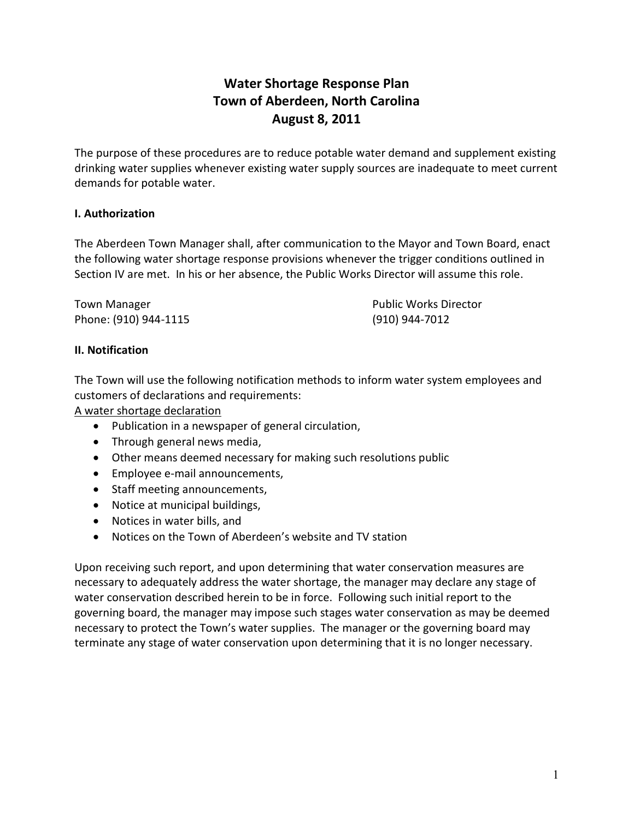# **Water Shortage Response Plan Town of Aberdeen, North Carolina August 8, 2011**

The purpose of these procedures are to reduce potable water demand and supplement existing drinking water supplies whenever existing water supply sources are inadequate to meet current demands for potable water.

#### **I. Authorization**

The Aberdeen Town Manager shall, after communication to the Mayor and Town Board, enact the following water shortage response provisions whenever the trigger conditions outlined in Section IV are met. In his or her absence, the Public Works Director will assume this role.

Town Manager **The Community Community Community** Public Works Director Phone: (910) 944‐1115 (910) 944‐7012

#### **II. Notification**

The Town will use the following notification methods to inform water system employees and customers of declarations and requirements:

A water shortage declaration

- Publication in a newspaper of general circulation,
- Through general news media,
- Other means deemed necessary for making such resolutions public
- Employee e-mail announcements,
- Staff meeting announcements,
- Notice at municipal buildings,
- Notices in water bills, and
- Notices on the Town of Aberdeen's website and TV station

Upon receiving such report, and upon determining that water conservation measures are necessary to adequately address the water shortage, the manager may declare any stage of water conservation described herein to be in force. Following such initial report to the governing board, the manager may impose such stages water conservation as may be deemed necessary to protect the Town's water supplies. The manager or the governing board may terminate any stage of water conservation upon determining that it is no longer necessary.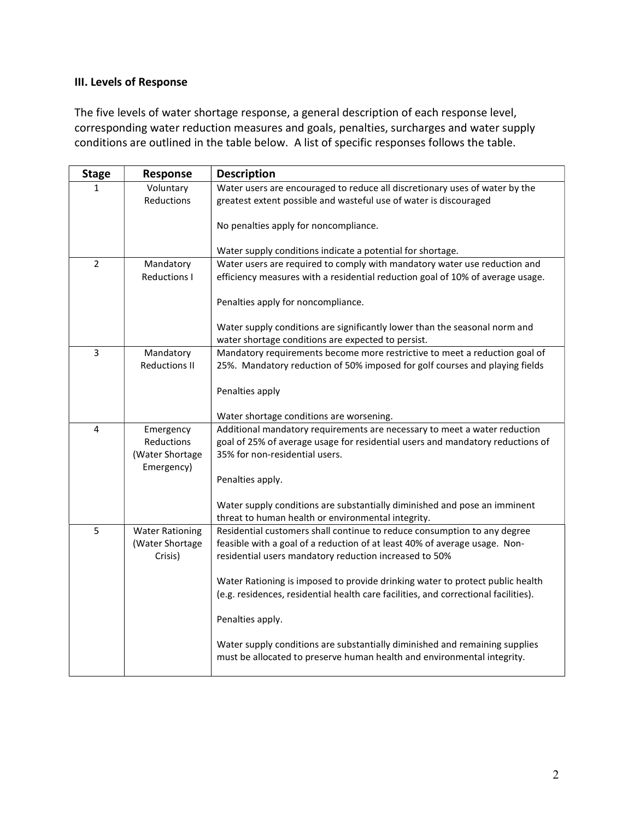## **III. Levels of Response**

The five levels of water shortage response, a general description of each response level, corresponding water reduction measures and goals, penalties, surcharges and water supply conditions are outlined in the table below. A list of specific responses follows the table.

| <b>Stage</b>   | Response               | <b>Description</b>                                                                                                                                     |  |  |  |
|----------------|------------------------|--------------------------------------------------------------------------------------------------------------------------------------------------------|--|--|--|
| $\mathbf{1}$   | Voluntary              | Water users are encouraged to reduce all discretionary uses of water by the                                                                            |  |  |  |
|                | Reductions             | greatest extent possible and wasteful use of water is discouraged                                                                                      |  |  |  |
|                |                        | No penalties apply for noncompliance.                                                                                                                  |  |  |  |
|                |                        | Water supply conditions indicate a potential for shortage.                                                                                             |  |  |  |
| $\overline{2}$ | Mandatory              | Water users are required to comply with mandatory water use reduction and                                                                              |  |  |  |
|                | <b>Reductions I</b>    | efficiency measures with a residential reduction goal of 10% of average usage.                                                                         |  |  |  |
|                |                        | Penalties apply for noncompliance.                                                                                                                     |  |  |  |
|                |                        | Water supply conditions are significantly lower than the seasonal norm and                                                                             |  |  |  |
|                |                        | water shortage conditions are expected to persist.                                                                                                     |  |  |  |
| 3              | Mandatory              | Mandatory requirements become more restrictive to meet a reduction goal of                                                                             |  |  |  |
|                | <b>Reductions II</b>   | 25%. Mandatory reduction of 50% imposed for golf courses and playing fields                                                                            |  |  |  |
|                |                        |                                                                                                                                                        |  |  |  |
|                |                        | Penalties apply                                                                                                                                        |  |  |  |
|                |                        | Water shortage conditions are worsening.                                                                                                               |  |  |  |
| 4              | Emergency              | Additional mandatory requirements are necessary to meet a water reduction                                                                              |  |  |  |
|                | Reductions             | goal of 25% of average usage for residential users and mandatory reductions of                                                                         |  |  |  |
|                | (Water Shortage        | 35% for non-residential users.                                                                                                                         |  |  |  |
|                | Emergency)             |                                                                                                                                                        |  |  |  |
|                |                        | Penalties apply.                                                                                                                                       |  |  |  |
|                |                        |                                                                                                                                                        |  |  |  |
|                |                        | Water supply conditions are substantially diminished and pose an imminent<br>threat to human health or environmental integrity.                        |  |  |  |
| 5              | <b>Water Rationing</b> | Residential customers shall continue to reduce consumption to any degree                                                                               |  |  |  |
|                | (Water Shortage        | feasible with a goal of a reduction of at least 40% of average usage. Non-                                                                             |  |  |  |
|                | Crisis)                | residential users mandatory reduction increased to 50%                                                                                                 |  |  |  |
|                |                        |                                                                                                                                                        |  |  |  |
|                |                        | Water Rationing is imposed to provide drinking water to protect public health                                                                          |  |  |  |
|                |                        | (e.g. residences, residential health care facilities, and correctional facilities).                                                                    |  |  |  |
|                |                        | Penalties apply.                                                                                                                                       |  |  |  |
|                |                        | Water supply conditions are substantially diminished and remaining supplies<br>must be allocated to preserve human health and environmental integrity. |  |  |  |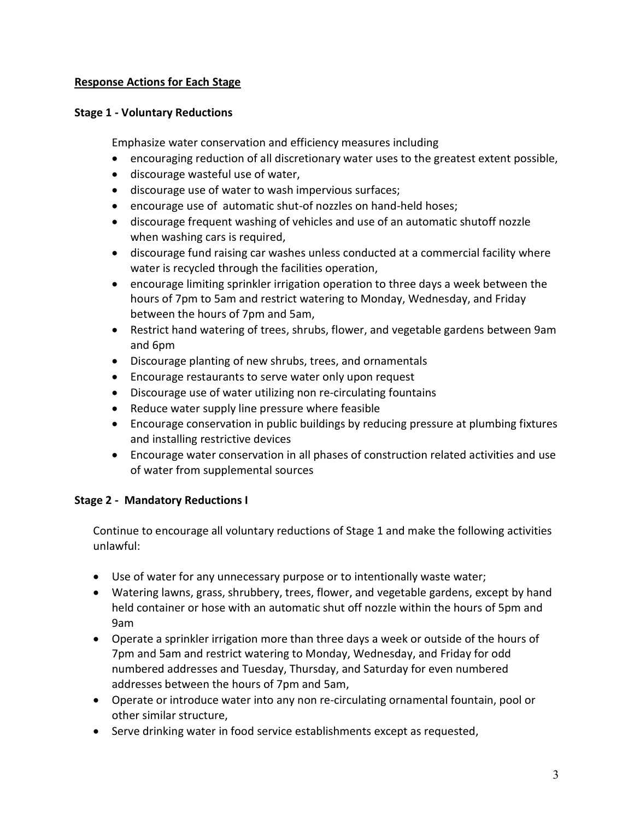### **Response Actions for Each Stage**

#### **Stage 1 ‐ Voluntary Reductions**

Emphasize water conservation and efficiency measures including

- encouraging reduction of all discretionary water uses to the greatest extent possible,
- discourage wasteful use of water,
- discourage use of water to wash impervious surfaces;
- encourage use of automatic shut‐of nozzles on hand‐held hoses;
- discourage frequent washing of vehicles and use of an automatic shutoff nozzle when washing cars is required,
- discourage fund raising car washes unless conducted at a commercial facility where water is recycled through the facilities operation,
- encourage limiting sprinkler irrigation operation to three days a week between the hours of 7pm to 5am and restrict watering to Monday, Wednesday, and Friday between the hours of 7pm and 5am,
- Restrict hand watering of trees, shrubs, flower, and vegetable gardens between 9am and 6pm
- Discourage planting of new shrubs, trees, and ornamentals
- Encourage restaurants to serve water only upon request
- Discourage use of water utilizing non re‐circulating fountains
- Reduce water supply line pressure where feasible
- Encourage conservation in public buildings by reducing pressure at plumbing fixtures and installing restrictive devices
- Encourage water conservation in all phases of construction related activities and use of water from supplemental sources

## **Stage 2 ‐ Mandatory Reductions I**

Continue to encourage all voluntary reductions of Stage 1 and make the following activities unlawful:

- Use of water for any unnecessary purpose or to intentionally waste water;
- Watering lawns, grass, shrubbery, trees, flower, and vegetable gardens, except by hand held container or hose with an automatic shut off nozzle within the hours of 5pm and 9am
- Operate a sprinkler irrigation more than three days a week or outside of the hours of 7pm and 5am and restrict watering to Monday, Wednesday, and Friday for odd numbered addresses and Tuesday, Thursday, and Saturday for even numbered addresses between the hours of 7pm and 5am,
- Operate or introduce water into any non re-circulating ornamental fountain, pool or other similar structure,
- Serve drinking water in food service establishments except as requested,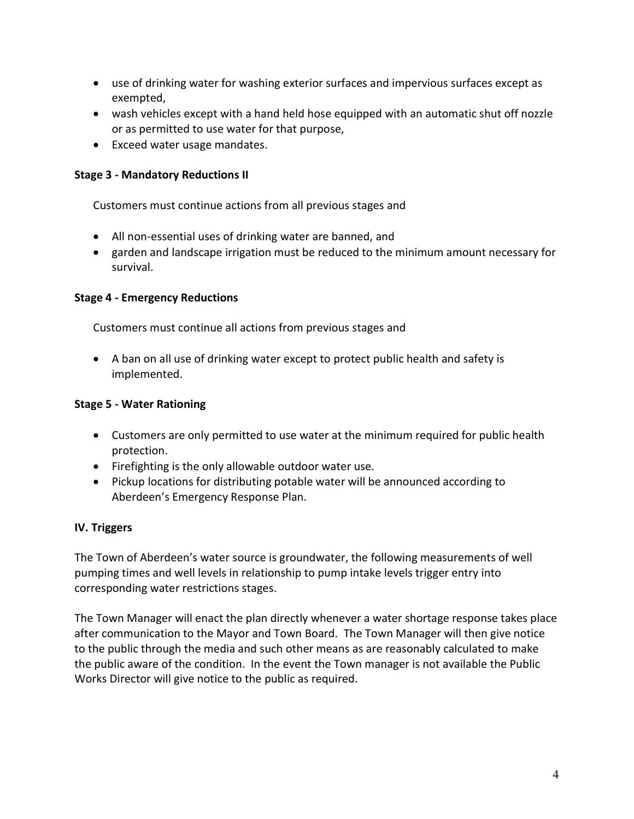- use of drinking water for washing exterior surfaces and impervious surfaces except as exempted,
- wash vehicles except with a hand held hose equipped with an automatic shut off nozzle or as permitted to use water for that purpose,
- Exceed water usage mandates.

#### **Stage 3 ‐ Mandatory Reductions II**

Customers must continue actions from all previous stages and

- All non‐essential uses of drinking water are banned, and
- garden and landscape irrigation must be reduced to the minimum amount necessary for survival.

### **Stage 4 ‐ Emergency Reductions**

Customers must continue all actions from previous stages and

• A ban on all use of drinking water except to protect public health and safety is implemented.

### **Stage 5 ‐ Water Rationing**

- Customers are only permitted to use water at the minimum required for public health protection.
- Firefighting is the only allowable outdoor water use.
- Pickup locations for distributing potable water will be announced according to Aberdeen's Emergency Response Plan.

#### **IV. Triggers**

The Town of Aberdeen's water source is groundwater, the following measurements of well pumping times and well levels in relationship to pump intake levels trigger entry into corresponding water restrictions stages.

The Town Manager will enact the plan directly whenever a water shortage response takes place after communication to the Mayor and Town Board. The Town Manager will then give notice to the public through the media and such other means as are reasonably calculated to make the public aware of the condition. In the event the Town manager is not available the Public Works Director will give notice to the public as required.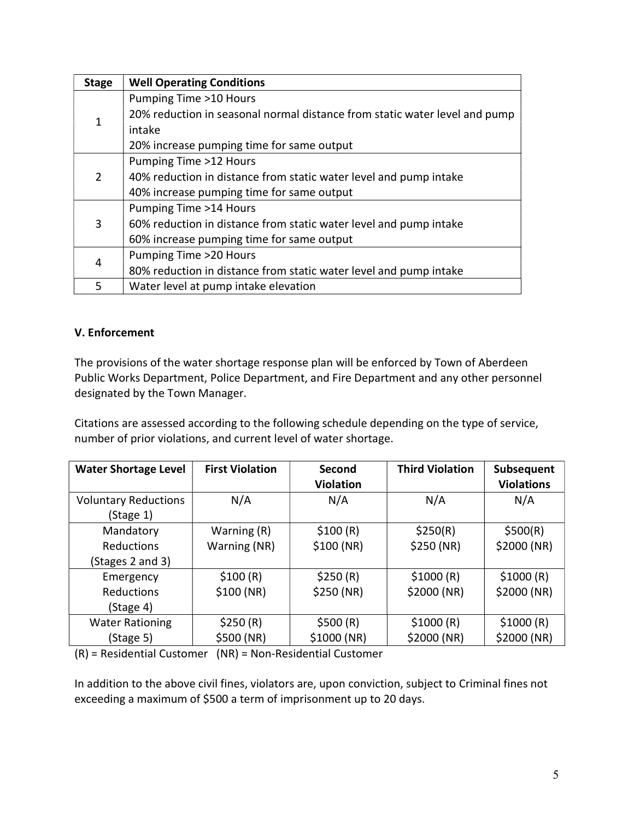| <b>Stage</b> | <b>Well Operating Conditions</b>                                           |  |  |  |  |
|--------------|----------------------------------------------------------------------------|--|--|--|--|
| 1            | Pumping Time >10 Hours                                                     |  |  |  |  |
|              | 20% reduction in seasonal normal distance from static water level and pump |  |  |  |  |
|              | intake                                                                     |  |  |  |  |
|              | 20% increase pumping time for same output                                  |  |  |  |  |
| 2            | Pumping Time >12 Hours                                                     |  |  |  |  |
|              | 40% reduction in distance from static water level and pump intake          |  |  |  |  |
|              | 40% increase pumping time for same output                                  |  |  |  |  |
| 3            | Pumping Time >14 Hours                                                     |  |  |  |  |
|              | 60% reduction in distance from static water level and pump intake          |  |  |  |  |
|              | 60% increase pumping time for same output                                  |  |  |  |  |
| 4            | Pumping Time >20 Hours                                                     |  |  |  |  |
|              | 80% reduction in distance from static water level and pump intake          |  |  |  |  |
| 5.           | Water level at pump intake elevation                                       |  |  |  |  |

## **V. Enforcement**

The provisions of the water shortage response plan will be enforced by Town of Aberdeen Public Works Department, Police Department, and Fire Department and any other personnel designated by the Town Manager.

Citations are assessed according to the following schedule depending on the type of service, number of prior violations, and current level of water shortage.

| <b>Water Shortage Level</b> | <b>First Violation</b> | Second<br><b>Violation</b> | <b>Third Violation</b> | Subsequent<br><b>Violations</b> |
|-----------------------------|------------------------|----------------------------|------------------------|---------------------------------|
| <b>Voluntary Reductions</b> | N/A                    | N/A                        | N/A                    | N/A                             |
| (Stage 1)                   |                        |                            |                        |                                 |
| Mandatory                   | Warning (R)            | \$100(R)                   | \$250(R)               | \$500(R)                        |
| <b>Reductions</b>           | Warning (NR)           | \$100(NR)                  | \$250 (NR)             | \$2000 (NR)                     |
| (Stages 2 and 3)            |                        |                            |                        |                                 |
| Emergency                   | \$100(R)               | \$250(R)                   | \$1000(R)              | \$1000(R)                       |
| <b>Reductions</b>           | \$100(NR)              | \$250 (NR)                 | \$2000(NR)             | \$2000 (NR)                     |
| (Stage 4)                   |                        |                            |                        |                                 |
| <b>Water Rationing</b>      | \$250(R)               | \$500(R)                   | \$1000(R)              | \$1000(R)                       |
| (Stage 5)                   | \$500 (NR)             | \$1000(NR)                 | \$2000 (NR)            | \$2000 (NR)                     |

(R) = Residential Customer (NR) = Non‐Residential Customer

In addition to the above civil fines, violators are, upon conviction, subject to Criminal fines not exceeding a maximum of \$500 a term of imprisonment up to 20 days.